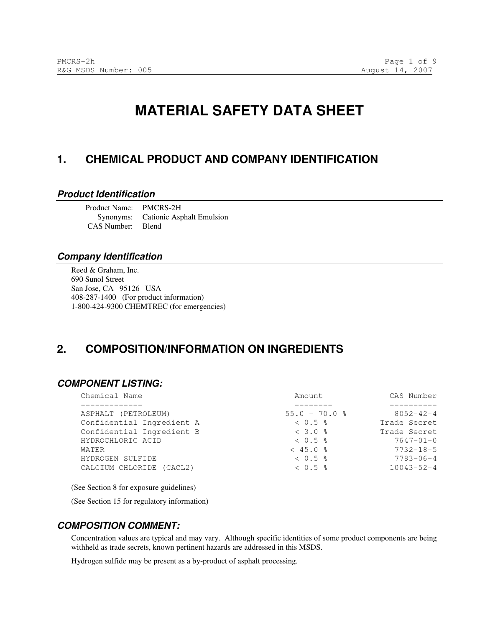# **MATERIAL SAFETY DATA SHEET**

## **1. CHEMICAL PRODUCT AND COMPANY IDENTIFICATION**

#### **Product Identification**

Product Name: PMCRS-2H Synonyms: Cationic Asphalt Emulsion CAS Number: Blend

#### **Company Identification**

Reed & Graham, Inc. 690 Sunol Street San Jose, CA 95126 USA 408-287-1400 (For product information) 1-800-424-9300 CHEMTREC (for emergencies)

## **2. COMPOSITION/INFORMATION ON INGREDIENTS**

#### **COMPONENT LISTING:**

| Chemical Name             | Amount            | CAS Number       |
|---------------------------|-------------------|------------------|
|                           |                   |                  |
| ASPHALT (PETROLEUM)       | $55.0 - 70.0$ %   | $8052 - 42 - 4$  |
| Confidential Ingredient A | $< 0.5$ %         | Trade Secret     |
| Confidential Ingredient B | $< 3.0$ %         | Trade Secret     |
| HYDROCHLORIC ACID         | $< 0.5$ $\approx$ | $7647 - 01 - 0$  |
| WATER                     | $< 45.0$ %        | $7732 - 18 - 5$  |
| HYDROGEN SULFIDE          | $< 0.5$ $\approx$ | $7783 - 06 - 4$  |
| CALCIUM CHLORIDE (CACL2)  | $< 0.5$ %         | $10043 - 52 - 4$ |
|                           |                   |                  |

(See Section 8 for exposure guidelines)

(See Section 15 for regulatory information)

#### **COMPOSITION COMMENT:**

Concentration values are typical and may vary. Although specific identities of some product components are being withheld as trade secrets, known pertinent hazards are addressed in this MSDS.

Hydrogen sulfide may be present as a by-product of asphalt processing.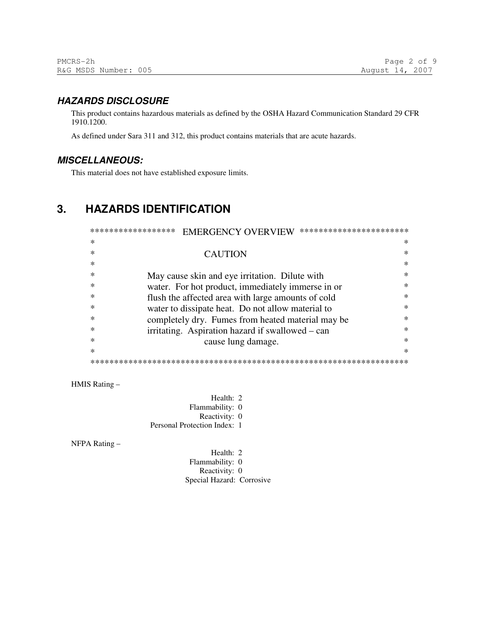## **HAZARDS DISCLOSURE**

This product contains hazardous materials as defined by the OSHA Hazard Communication Standard 29 CFR 1910.1200.

As defined under Sara 311 and 312, this product contains materials that are acute hazards.

## **MISCELLANEOUS:**

This material does not have established exposure limits.

## **3. HAZARDS IDENTIFICATION**

| ******************<br>***********************<br><b>EMERGENCY OVERVIEW</b> |                                                    |        |  |  |  |
|----------------------------------------------------------------------------|----------------------------------------------------|--------|--|--|--|
| ∗                                                                          |                                                    | ∗      |  |  |  |
|                                                                            | <b>CAUTION</b>                                     | $\ast$ |  |  |  |
|                                                                            |                                                    | $\ast$ |  |  |  |
|                                                                            | May cause skin and eye irritation. Dilute with     | $\ast$ |  |  |  |
|                                                                            | water. For hot product, immediately immerse in or  | $\ast$ |  |  |  |
|                                                                            | flush the affected area with large amounts of cold | ж      |  |  |  |
| ∗                                                                          | water to dissipate heat. Do not allow material to  | $\ast$ |  |  |  |
| ∗                                                                          | completely dry. Fumes from heated material may be  | ж      |  |  |  |
|                                                                            | irritating. Aspiration hazard if swallowed – can   | ж      |  |  |  |
|                                                                            | cause lung damage.                                 | $\ast$ |  |  |  |
| ж                                                                          |                                                    | $\ast$ |  |  |  |
|                                                                            |                                                    |        |  |  |  |

HMIS Rating –

Health: 2 Flammability: 0 Reactivity: 0 Personal Protection Index: 1

NFPA Rating –

Health: 2 Flammability: 0 Reactivity: 0 Special Hazard: Corrosive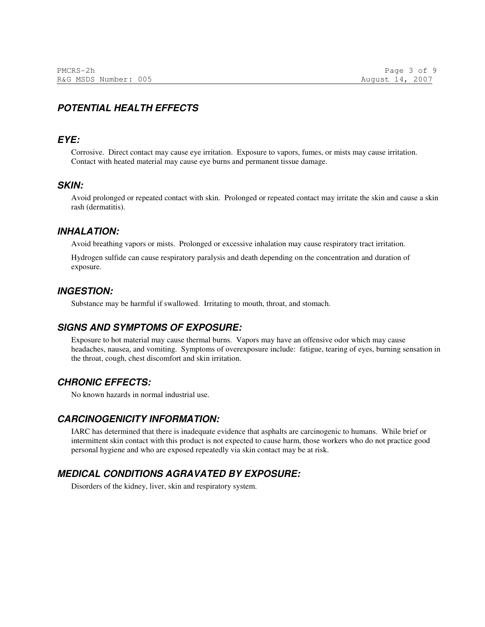## **POTENTIAL HEALTH EFFECTS**

#### **EYE:**

Corrosive. Direct contact may cause eye irritation. Exposure to vapors, fumes, or mists may cause irritation. Contact with heated material may cause eye burns and permanent tissue damage.

#### **SKIN:**

Avoid prolonged or repeated contact with skin. Prolonged or repeated contact may irritate the skin and cause a skin rash (dermatitis).

#### **INHALATION:**

Avoid breathing vapors or mists. Prolonged or excessive inhalation may cause respiratory tract irritation.

Hydrogen sulfide can cause respiratory paralysis and death depending on the concentration and duration of exposure.

#### **INGESTION:**

Substance may be harmful if swallowed. Irritating to mouth, throat, and stomach.

#### **SIGNS AND SYMPTOMS OF EXPOSURE:**

Exposure to hot material may cause thermal burns. Vapors may have an offensive odor which may cause headaches, nausea, and vomiting. Symptoms of overexposure include: fatigue, tearing of eyes, burning sensation in the throat, cough, chest discomfort and skin irritation.

## **CHRONIC EFFECTS:**

No known hazards in normal industrial use.

#### **CARCINOGENICITY INFORMATION:**

IARC has determined that there is inadequate evidence that asphalts are carcinogenic to humans. While brief or intermittent skin contact with this product is not expected to cause harm, those workers who do not practice good personal hygiene and who are exposed repeatedly via skin contact may be at risk.

## **MEDICAL CONDITIONS AGRAVATED BY EXPOSURE:**

Disorders of the kidney, liver, skin and respiratory system.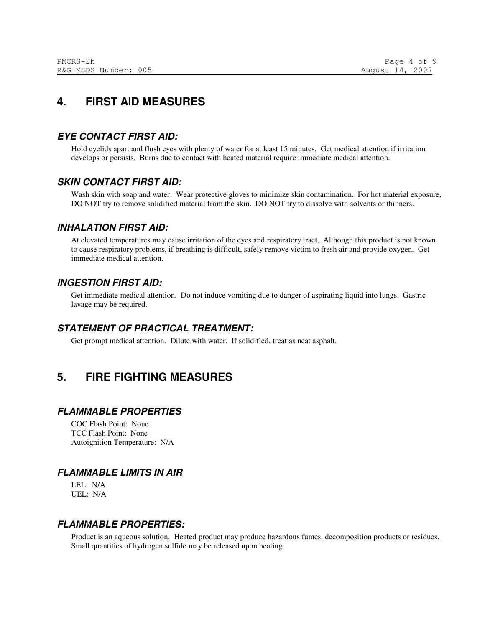## **4. FIRST AID MEASURES**

### **EYE CONTACT FIRST AID:**

Hold eyelids apart and flush eyes with plenty of water for at least 15 minutes. Get medical attention if irritation develops or persists. Burns due to contact with heated material require immediate medical attention.

### **SKIN CONTACT FIRST AID:**

Wash skin with soap and water. Wear protective gloves to minimize skin contamination. For hot material exposure, DO NOT try to remove solidified material from the skin. DO NOT try to dissolve with solvents or thinners.

#### **INHALATION FIRST AID:**

At elevated temperatures may cause irritation of the eyes and respiratory tract. Although this product is not known to cause respiratory problems, if breathing is difficult, safely remove victim to fresh air and provide oxygen. Get immediate medical attention.

#### **INGESTION FIRST AID:**

Get immediate medical attention. Do not induce vomiting due to danger of aspirating liquid into lungs. Gastric lavage may be required.

### **STATEMENT OF PRACTICAL TREATMENT:**

Get prompt medical attention. Dilute with water. If solidified, treat as neat asphalt.

## **5. FIRE FIGHTING MEASURES**

#### **FLAMMABLE PROPERTIES**

COC Flash Point: None TCC Flash Point: None Autoignition Temperature: N/A

## **FLAMMABLE LIMITS IN AIR**

LEL: N/A UEL: N/A

#### **FLAMMABLE PROPERTIES:**

Product is an aqueous solution. Heated product may produce hazardous fumes, decomposition products or residues. Small quantities of hydrogen sulfide may be released upon heating.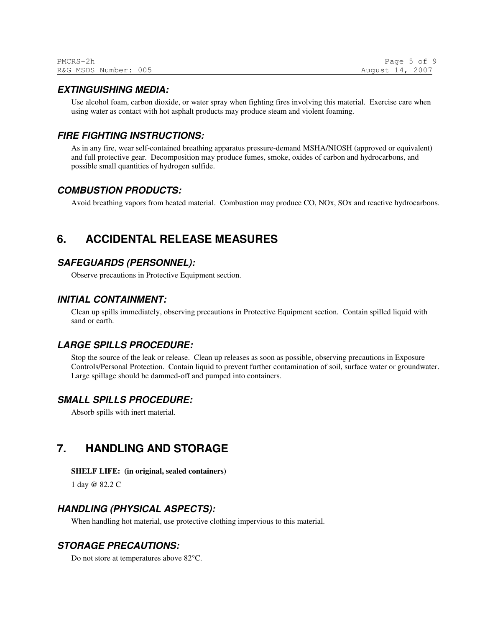| PMCRS-2h             | Page 5 of 9     |  |
|----------------------|-----------------|--|
| R&G MSDS Number: 005 | August 14, 2007 |  |

#### **EXTINGUISHING MEDIA:**

Use alcohol foam, carbon dioxide, or water spray when fighting fires involving this material. Exercise care when using water as contact with hot asphalt products may produce steam and violent foaming.

#### **FIRE FIGHTING INSTRUCTIONS:**

As in any fire, wear self-contained breathing apparatus pressure-demand MSHA/NIOSH (approved or equivalent) and full protective gear. Decomposition may produce fumes, smoke, oxides of carbon and hydrocarbons, and possible small quantities of hydrogen sulfide.

#### **COMBUSTION PRODUCTS:**

Avoid breathing vapors from heated material. Combustion may produce CO, NOx, SOx and reactive hydrocarbons.

## **6. ACCIDENTAL RELEASE MEASURES**

#### **SAFEGUARDS (PERSONNEL):**

Observe precautions in Protective Equipment section.

#### **INITIAL CONTAINMENT:**

Clean up spills immediately, observing precautions in Protective Equipment section. Contain spilled liquid with sand or earth.

#### **LARGE SPILLS PROCEDURE:**

Stop the source of the leak or release. Clean up releases as soon as possible, observing precautions in Exposure Controls/Personal Protection. Contain liquid to prevent further contamination of soil, surface water or groundwater. Large spillage should be dammed-off and pumped into containers.

#### **SMALL SPILLS PROCEDURE:**

Absorb spills with inert material.

## **7. HANDLING AND STORAGE**

#### **SHELF LIFE: (in original, sealed containers)**

1 day @ 82.2 C

#### **HANDLING (PHYSICAL ASPECTS):**

When handling hot material, use protective clothing impervious to this material.

#### **STORAGE PRECAUTIONS:**

Do not store at temperatures above 82°C.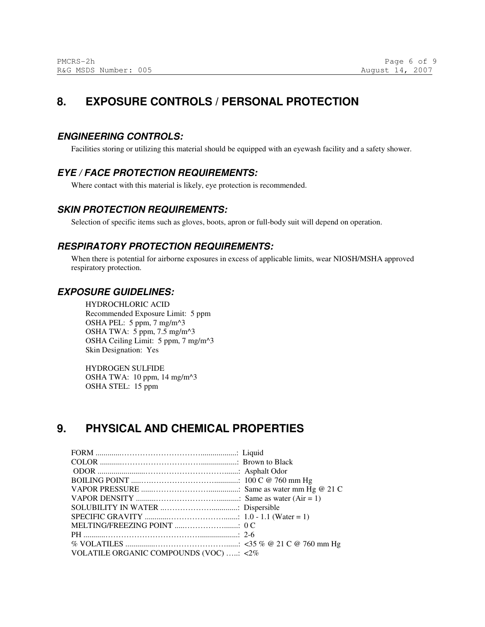## **8. EXPOSURE CONTROLS / PERSONAL PROTECTION**

### **ENGINEERING CONTROLS:**

Facilities storing or utilizing this material should be equipped with an eyewash facility and a safety shower.

## **EYE / FACE PROTECTION REQUIREMENTS:**

Where contact with this material is likely, eye protection is recommended.

### **SKIN PROTECTION REQUIREMENTS:**

Selection of specific items such as gloves, boots, apron or full-body suit will depend on operation.

## **RESPIRATORY PROTECTION REQUIREMENTS:**

When there is potential for airborne exposures in excess of applicable limits, wear NIOSH/MSHA approved respiratory protection.

### **EXPOSURE GUIDELINES:**

HYDROCHLORIC ACID Recommended Exposure Limit: 5 ppm OSHA PEL: 5 ppm, 7 mg/m^3 OSHA TWA: 5 ppm, 7.5 mg/m^3 OSHA Ceiling Limit: 5 ppm, 7 mg/m^3 Skin Designation: Yes

HYDROGEN SULFIDE OSHA TWA: 10 ppm, 14 mg/m^3 OSHA STEL: 15 ppm

## **9. PHYSICAL AND CHEMICAL PROPERTIES**

| VOLATILE ORGANIC COMPOUNDS (VOC) : <2% |  |
|----------------------------------------|--|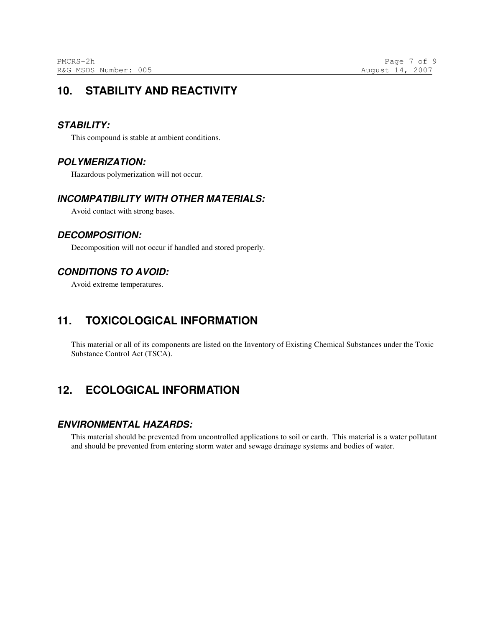## **10. STABILITY AND REACTIVITY**

### **STABILITY:**

This compound is stable at ambient conditions.

### **POLYMERIZATION:**

Hazardous polymerization will not occur.

### **INCOMPATIBILITY WITH OTHER MATERIALS:**

Avoid contact with strong bases.

## **DECOMPOSITION:**

Decomposition will not occur if handled and stored properly.

## **CONDITIONS TO AVOID:**

Avoid extreme temperatures.

## **11. TOXICOLOGICAL INFORMATION**

This material or all of its components are listed on the Inventory of Existing Chemical Substances under the Toxic Substance Control Act (TSCA).

## **12. ECOLOGICAL INFORMATION**

#### **ENVIRONMENTAL HAZARDS:**

This material should be prevented from uncontrolled applications to soil or earth. This material is a water pollutant and should be prevented from entering storm water and sewage drainage systems and bodies of water.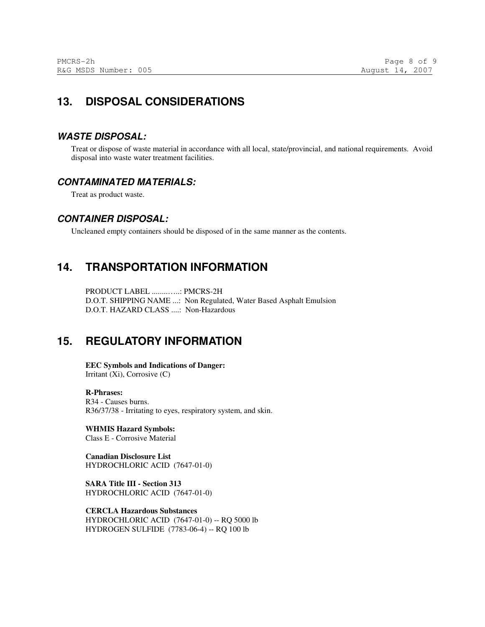## **13. DISPOSAL CONSIDERATIONS**

### **WASTE DISPOSAL:**

Treat or dispose of waste material in accordance with all local, state/provincial, and national requirements. Avoid disposal into waste water treatment facilities.

### **CONTAMINATED MATERIALS:**

Treat as product waste.

### **CONTAINER DISPOSAL:**

Uncleaned empty containers should be disposed of in the same manner as the contents.

## **14. TRANSPORTATION INFORMATION**

PRODUCT LABEL ........…..: PMCRS-2H D.O.T. SHIPPING NAME ...: Non Regulated, Water Based Asphalt Emulsion D.O.T. HAZARD CLASS ....: Non-Hazardous

## **15. REGULATORY INFORMATION**

**EEC Symbols and Indications of Danger:**  Irritant (Xi), Corrosive (C)

#### **R-Phrases:**  R34 - Causes burns. R36/37/38 - Irritating to eyes, respiratory system, and skin.

**WHMIS Hazard Symbols:**  Class E - Corrosive Material

**Canadian Disclosure List**  HYDROCHLORIC ACID (7647-01-0)

**SARA Title III - Section 313**  HYDROCHLORIC ACID (7647-01-0)

**CERCLA Hazardous Substances**  HYDROCHLORIC ACID (7647-01-0) -- RQ 5000 lb HYDROGEN SULFIDE (7783-06-4) -- RQ 100 lb